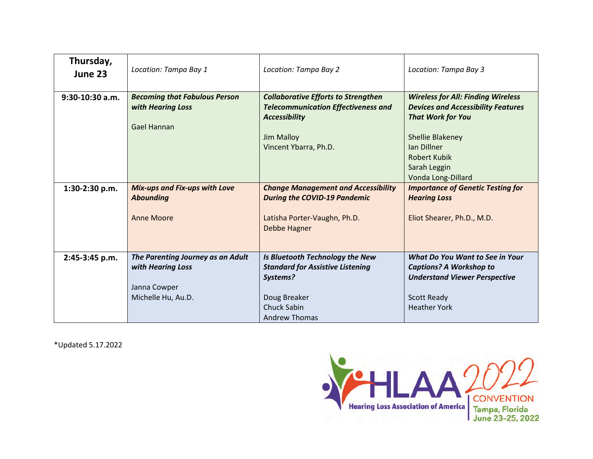| Thursday,<br>June 23 | Location: Tampa Bay 1                                                                        | Location: Tampa Bay 2                                                                                                                                          | Location: Tampa Bay 3                                                                                                                                                                                                            |
|----------------------|----------------------------------------------------------------------------------------------|----------------------------------------------------------------------------------------------------------------------------------------------------------------|----------------------------------------------------------------------------------------------------------------------------------------------------------------------------------------------------------------------------------|
| $9:30-10:30$ a.m.    | <b>Becoming that Fabulous Person</b><br>with Hearing Loss<br>Gael Hannan                     | <b>Collaborative Efforts to Strengthen</b><br><b>Telecommunication Effectiveness and</b><br><b>Accessibility</b><br><b>Jim Malloy</b><br>Vincent Ybarra, Ph.D. | <b>Wireless for All: Finding Wireless</b><br><b>Devices and Accessibility Features</b><br><b>That Work for You</b><br><b>Shellie Blakeney</b><br><b>Ian Dillner</b><br><b>Robert Kubik</b><br>Sarah Leggin<br>Vonda Long-Dillard |
| 1:30-2:30 p.m.       | <b>Mix-ups and Fix-ups with Love</b><br><b>Abounding</b><br><b>Anne Moore</b>                | <b>Change Management and Accessibility</b><br><b>During the COVID-19 Pandemic</b><br>Latisha Porter-Vaughn, Ph.D.<br>Debbe Hagner                              | <b>Importance of Genetic Testing for</b><br><b>Hearing Loss</b><br>Eliot Shearer, Ph.D., M.D.                                                                                                                                    |
| 2:45-3:45 p.m.       | The Parenting Journey as an Adult<br>with Hearing Loss<br>Janna Cowper<br>Michelle Hu, Au.D. | Is Bluetooth Technology the New<br><b>Standard for Assistive Listening</b><br>Systems?<br>Doug Breaker<br><b>Chuck Sabin</b><br><b>Andrew Thomas</b>           | What Do You Want to See in Your<br><b>Captions? A Workshop to</b><br><b>Understand Viewer Perspective</b><br><b>Scott Ready</b><br><b>Heather York</b>                                                                           |

\*Updated 5.17.2022

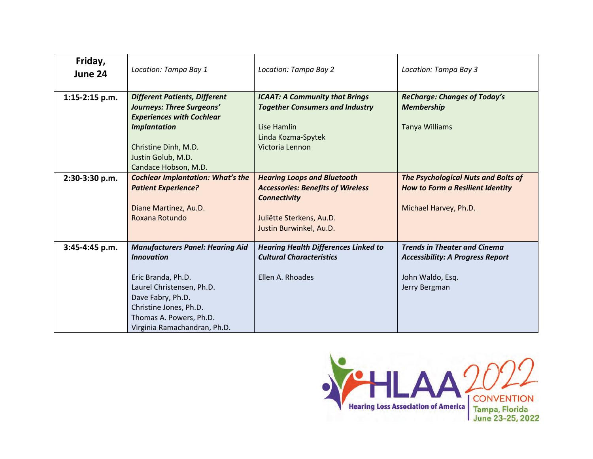| Friday,<br>June 24 | Location: Tampa Bay 1                    | Location: Tampa Bay 2                       | Location: Tampa Bay 3                      |
|--------------------|------------------------------------------|---------------------------------------------|--------------------------------------------|
| $1:15-2:15$ p.m.   | <b>Different Patients, Different</b>     | <b>ICAAT: A Community that Brings</b>       | <b>ReCharge: Changes of Today's</b>        |
|                    | Journeys: Three Surgeons'                | <b>Together Consumers and Industry</b>      | <b>Membership</b>                          |
|                    | <b>Experiences with Cochlear</b>         |                                             |                                            |
|                    | <b>Implantation</b>                      | Lise Hamlin<br>Linda Kozma-Spytek           | <b>Tanya Williams</b>                      |
|                    | Christine Dinh, M.D.                     | Victoria Lennon                             |                                            |
|                    | Justin Golub, M.D.                       |                                             |                                            |
|                    | Candace Hobson, M.D.                     |                                             |                                            |
| 2:30-3:30 p.m.     | <b>Cochlear Implantation: What's the</b> | <b>Hearing Loops and Bluetooth</b>          | <b>The Psychological Nuts and Bolts of</b> |
|                    | <b>Patient Experience?</b>               | <b>Accessories: Benefits of Wireless</b>    | How to Form a Resilient Identity           |
|                    |                                          | <b>Connectivity</b>                         |                                            |
|                    | Diane Martinez, Au.D.                    |                                             | Michael Harvey, Ph.D.                      |
|                    | Roxana Rotundo                           | Juliëtte Sterkens, Au.D.                    |                                            |
|                    |                                          | Justin Burwinkel, Au.D.                     |                                            |
| 3:45-4:45 p.m.     | <b>Manufacturers Panel: Hearing Aid</b>  | <b>Hearing Health Differences Linked to</b> | <b>Trends in Theater and Cinema</b>        |
|                    | <b>Innovation</b>                        | <b>Cultural Characteristics</b>             | <b>Accessibility: A Progress Report</b>    |
|                    |                                          |                                             |                                            |
|                    | Eric Branda, Ph.D.                       | Ellen A. Rhoades                            | John Waldo, Esq.                           |
|                    | Laurel Christensen, Ph.D.                |                                             | Jerry Bergman                              |
|                    | Dave Fabry, Ph.D.                        |                                             |                                            |
|                    | Christine Jones, Ph.D.                   |                                             |                                            |
|                    | Thomas A. Powers, Ph.D.                  |                                             |                                            |
|                    | Virginia Ramachandran, Ph.D.             |                                             |                                            |

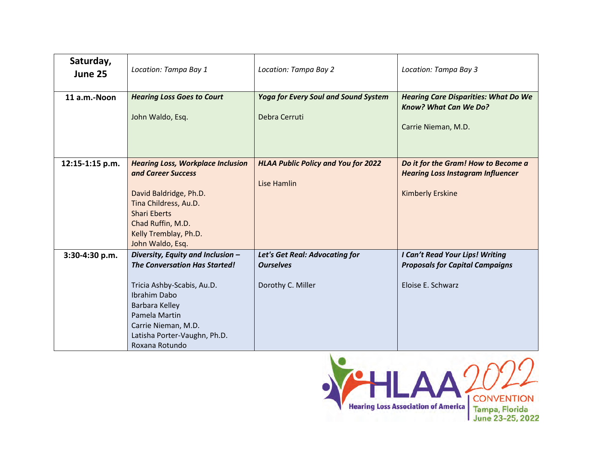| Saturday,<br>June 25 | Location: Tampa Bay 1                                                                                                                                                                                                               | Location: Tampa Bay 2                                                   | Location: Tampa Bay 3                                                                                      |
|----------------------|-------------------------------------------------------------------------------------------------------------------------------------------------------------------------------------------------------------------------------------|-------------------------------------------------------------------------|------------------------------------------------------------------------------------------------------------|
| 11 a.m.-Noon         | <b>Hearing Loss Goes to Court</b><br>John Waldo, Esq.                                                                                                                                                                               | <b>Yoga for Every Soul and Sound System</b><br>Debra Cerruti            | <b>Hearing Care Disparities: What Do We</b><br><b>Know? What Can We Do?</b><br>Carrie Nieman, M.D.         |
| 12:15-1:15 p.m.      | <b>Hearing Loss, Workplace Inclusion</b><br>and Career Success<br>David Baldridge, Ph.D.<br>Tina Childress, Au.D.<br><b>Shari Eberts</b><br>Chad Ruffin, M.D.<br>Kelly Tremblay, Ph.D.<br>John Waldo, Esq.                          | <b>HLAA Public Policy and You for 2022</b><br><b>Lise Hamlin</b>        | Do it for the Gram! How to Become a<br><b>Hearing Loss Instagram Influencer</b><br><b>Kimberly Erskine</b> |
| 3:30-4:30 p.m.       | Diversity, Equity and Inclusion -<br><b>The Conversation Has Started!</b><br>Tricia Ashby-Scabis, Au.D.<br>Ibrahim Dabo<br>Barbara Kelley<br>Pamela Martin<br>Carrie Nieman, M.D.<br>Latisha Porter-Vaughn, Ph.D.<br>Roxana Rotundo | Let's Get Real: Advocating for<br><b>Ourselves</b><br>Dorothy C. Miller | I Can't Read Your Lips! Writing<br><b>Proposals for Capital Campaigns</b><br>Eloise E. Schwarz             |